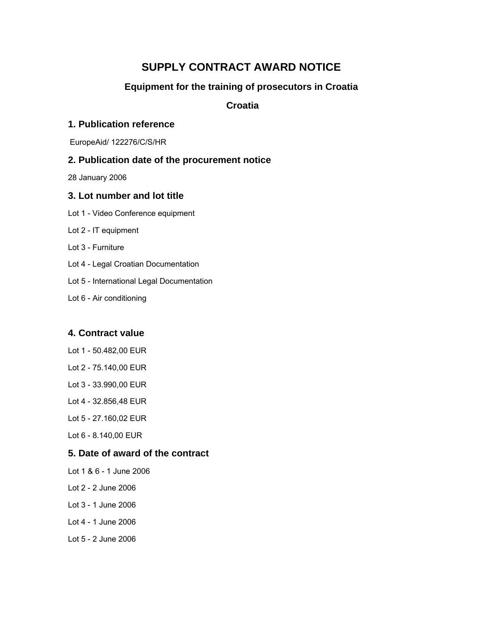# **SUPPLY CONTRACT AWARD NOTICE**

# **Equipment for the training of prosecutors in Croatia**

### **Croatia**

#### **1. Publication reference**

EuropeAid/ 122276/C/S/HR

#### **2. Publication date of the procurement notice**

28 January 2006

#### **3. Lot number and lot title**

- Lot 1 Video Conference equipment
- Lot 2 IT equipment
- Lot 3 Furniture
- Lot 4 Legal Croatian Documentation
- Lot 5 International Legal Documentation
- Lot 6 Air conditioning

#### **4. Contract value**

- Lot 1 50.482,00 EUR
- Lot 2 75.140,00 EUR
- Lot 3 33.990,00 EUR
- Lot 4 32.856,48 EUR
- Lot 5 27.160,02 EUR
- Lot 6 8.140,00 EUR

### **5. Date of award of the contract**

- Lot 1 & 6 1 June 2006
- Lot 2 2 June 2006
- Lot 3 1 June 2006
- Lot 4 1 June 2006
- Lot 5 2 June 2006